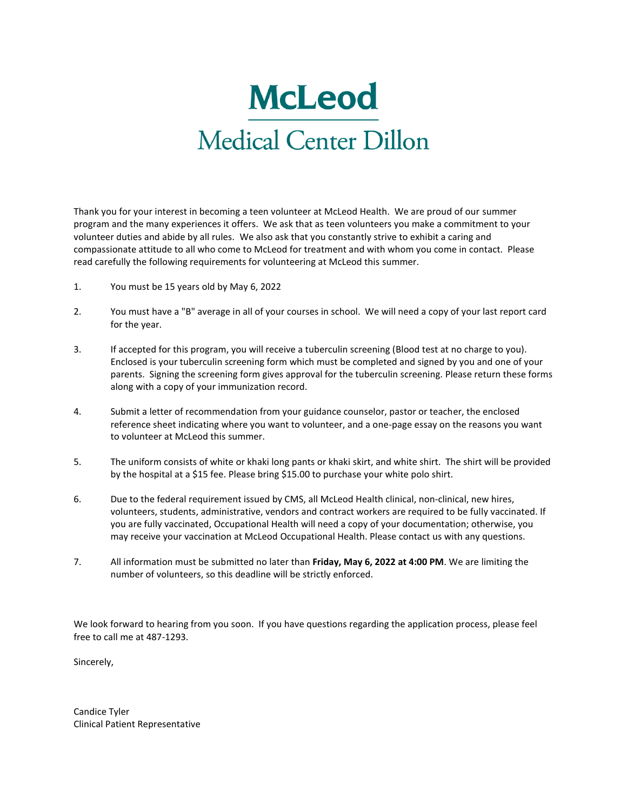# **McLeod** Medical Center Dillon

Thank you for your interest in becoming a teen volunteer at McLeod Health. We are proud of our summer program and the many experiences it offers. We ask that as teen volunteers you make a commitment to your volunteer duties and abide by all rules. We also ask that you constantly strive to exhibit a caring and compassionate attitude to all who come to McLeod for treatment and with whom you come in contact. Please read carefully the following requirements for volunteering at McLeod this summer.

- 1. You must be 15 years old by May 6, 2022
- 2. You must have a "B" average in all of your courses in school. We will need a copy of your last report card for the year.
- 3. If accepted for this program, you will receive a tuberculin screening (Blood test at no charge to you). Enclosed is your tuberculin screening form which must be completed and signed by you and one of your parents. Signing the screening form gives approval for the tuberculin screening. Please return these forms along with a copy of your immunization record.
- 4. Submit a letter of recommendation from your guidance counselor, pastor or teacher, the enclosed reference sheet indicating where you want to volunteer, and a one-page essay on the reasons you want to volunteer at McLeod this summer.
- 5. The uniform consists of white or khaki long pants or khaki skirt, and white shirt. The shirt will be provided by the hospital at a \$15 fee. Please bring \$15.00 to purchase your white polo shirt.
- 6. Due to the federal requirement issued by CMS, all McLeod Health clinical, non-clinical, new hires, volunteers, students, administrative, vendors and contract workers are required to be fully vaccinated. If you are fully vaccinated, Occupational Health will need a copy of your documentation; otherwise, you may receive your vaccination at McLeod Occupational Health. Please contact us with any questions.
- 7. All information must be submitted no later than **Friday, May 6, 2022 at 4:00 PM**. We are limiting the number of volunteers, so this deadline will be strictly enforced.

We look forward to hearing from you soon. If you have questions regarding the application process, please feel free to call me at 487-1293.

Sincerely,

Candice Tyler Clinical Patient Representative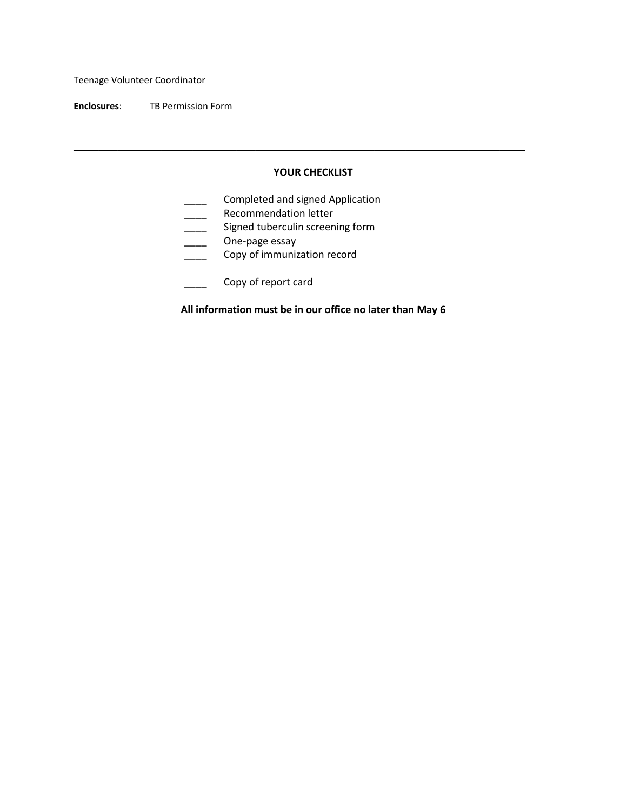Teenage Volunteer Coordinator

**Enclosures**: TB Permission Form

#### **YOUR CHECKLIST**

\_\_\_\_\_\_\_\_\_\_\_\_\_\_\_\_\_\_\_\_\_\_\_\_\_\_\_\_\_\_\_\_\_\_\_\_\_\_\_\_\_\_\_\_\_\_\_\_\_\_\_\_\_\_\_\_\_\_\_\_\_\_\_\_\_\_\_\_\_\_\_\_

- **\_\_\_\_** Completed and signed Application
- **EXECOMMENDATION LETTLE RECOMMENDATION**
- **\_\_\_\_\_** Signed tuberculin screening form
- \_\_\_\_\_ One-page essay
- **Copy of immunization record**
- \_\_\_\_ Copy of report card

**All information must be in our office no later than May 6**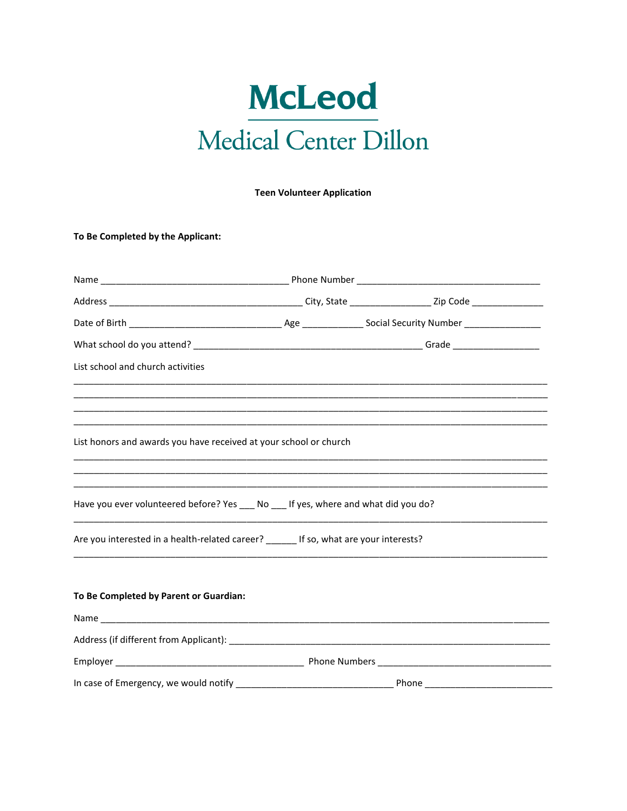# **McLeod** Medical Center Dillon

**Teen Volunteer Application** 

To Be Completed by the Applicant:

| List school and church activities                                                     |                                                                                                                                                                                                            |
|---------------------------------------------------------------------------------------|------------------------------------------------------------------------------------------------------------------------------------------------------------------------------------------------------------|
|                                                                                       | <u> 1990 - Johann Stoff, deutscher Stoff, der Stoff, der Stoff, der Stoff, der Stoff, der Stoff, der Stoff, der S</u><br>,我们也不能在这里的,我们也不能不能不能不能不能不能不能不能不能不能不能不能不能不能不能不能。""我们的人们也不能不能不能不能不能不能不能不能不能不能不能不能不能 |
| List honors and awards you have received at your school or church                     |                                                                                                                                                                                                            |
| Have you ever volunteered before? Yes ___ No ___ If yes, where and what did you do?   |                                                                                                                                                                                                            |
| Are you interested in a health-related career? ______ If so, what are your interests? |                                                                                                                                                                                                            |
| To Be Completed by Parent or Guardian:                                                |                                                                                                                                                                                                            |
|                                                                                       |                                                                                                                                                                                                            |
|                                                                                       |                                                                                                                                                                                                            |
|                                                                                       |                                                                                                                                                                                                            |
|                                                                                       |                                                                                                                                                                                                            |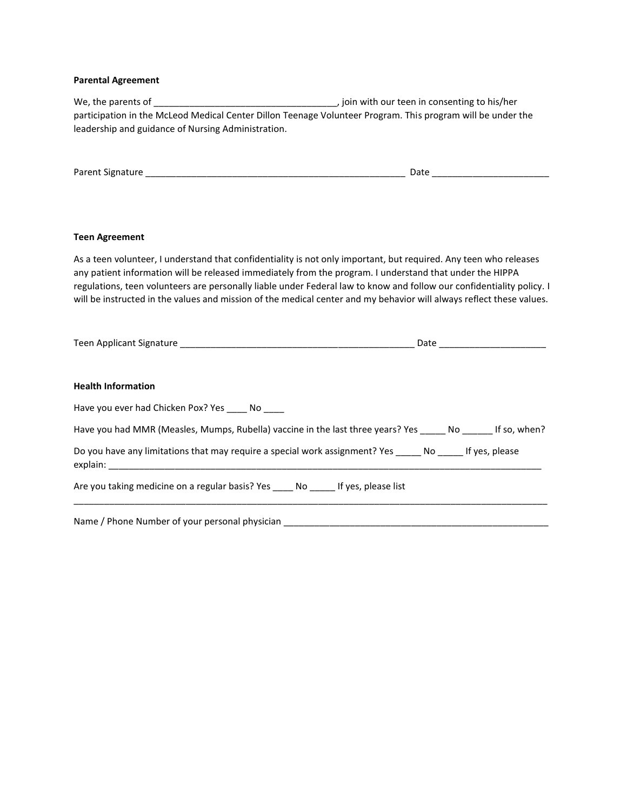### **Parental Agreement**

| participation in the McLeod Medical Center Dillon Teenage Volunteer Program. This program will be under the<br>leadership and guidance of Nursing Administration.                                                                                                                                                                                                                                                                                                              |  |
|--------------------------------------------------------------------------------------------------------------------------------------------------------------------------------------------------------------------------------------------------------------------------------------------------------------------------------------------------------------------------------------------------------------------------------------------------------------------------------|--|
|                                                                                                                                                                                                                                                                                                                                                                                                                                                                                |  |
| <b>Teen Agreement</b>                                                                                                                                                                                                                                                                                                                                                                                                                                                          |  |
| As a teen volunteer, I understand that confidentiality is not only important, but required. Any teen who releases<br>any patient information will be released immediately from the program. I understand that under the HIPPA<br>regulations, teen volunteers are personally liable under Federal law to know and follow our confidentiality policy. I<br>will be instructed in the values and mission of the medical center and my behavior will always reflect these values. |  |
|                                                                                                                                                                                                                                                                                                                                                                                                                                                                                |  |
| <b>Health Information</b>                                                                                                                                                                                                                                                                                                                                                                                                                                                      |  |
| Have you ever had Chicken Pox? Yes _____ No ____                                                                                                                                                                                                                                                                                                                                                                                                                               |  |
| Have you had MMR (Measles, Mumps, Rubella) vaccine in the last three years? Yes ______ No ______ If so, when?                                                                                                                                                                                                                                                                                                                                                                  |  |
| Do you have any limitations that may require a special work assignment? Yes _____ No _____ If yes, please                                                                                                                                                                                                                                                                                                                                                                      |  |
| Are you taking medicine on a regular basis? Yes ____ No _____ If yes, please list                                                                                                                                                                                                                                                                                                                                                                                              |  |
|                                                                                                                                                                                                                                                                                                                                                                                                                                                                                |  |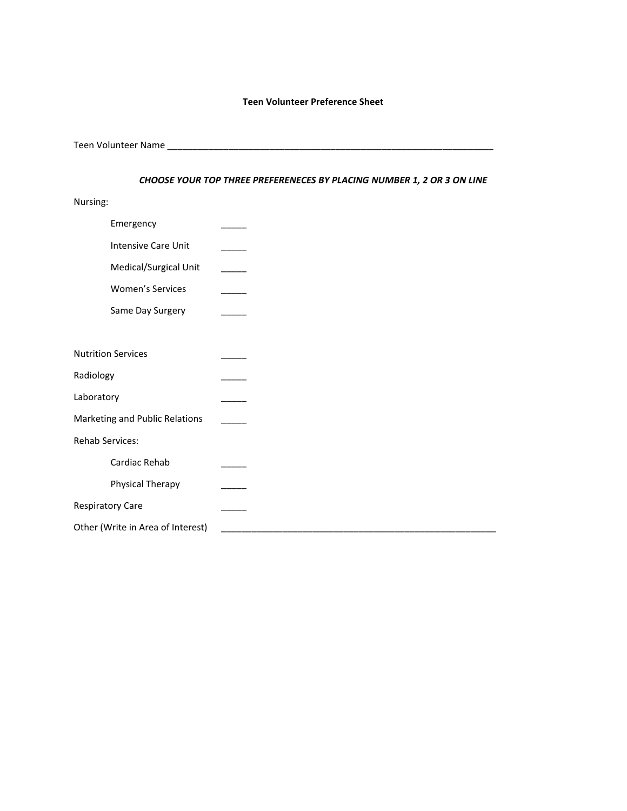#### **Teen Volunteer Preference Sheet**

Teen Volunteer Name \_\_\_\_\_\_\_\_\_\_\_\_\_\_\_\_\_\_\_\_\_\_\_\_\_\_\_\_\_\_\_\_\_\_\_\_\_\_\_\_\_\_\_\_\_\_\_\_\_\_\_\_\_\_\_\_\_\_\_\_\_\_\_\_

#### *CHOOSE YOUR TOP THREE PREFERENECES BY PLACING NUMBER 1, 2 OR 3 ON LINE*

Nursing:

| Emergency                         |  |
|-----------------------------------|--|
| Intensive Care Unit               |  |
| Medical/Surgical Unit             |  |
| Women's Services                  |  |
| Same Day Surgery                  |  |
|                                   |  |
| <b>Nutrition Services</b>         |  |
| Radiology                         |  |
| Laboratory                        |  |
| Marketing and Public Relations    |  |
| Rehab Services:                   |  |
| Cardiac Rehab                     |  |
| Physical Therapy                  |  |
| <b>Respiratory Care</b>           |  |
| Other (Write in Area of Interest) |  |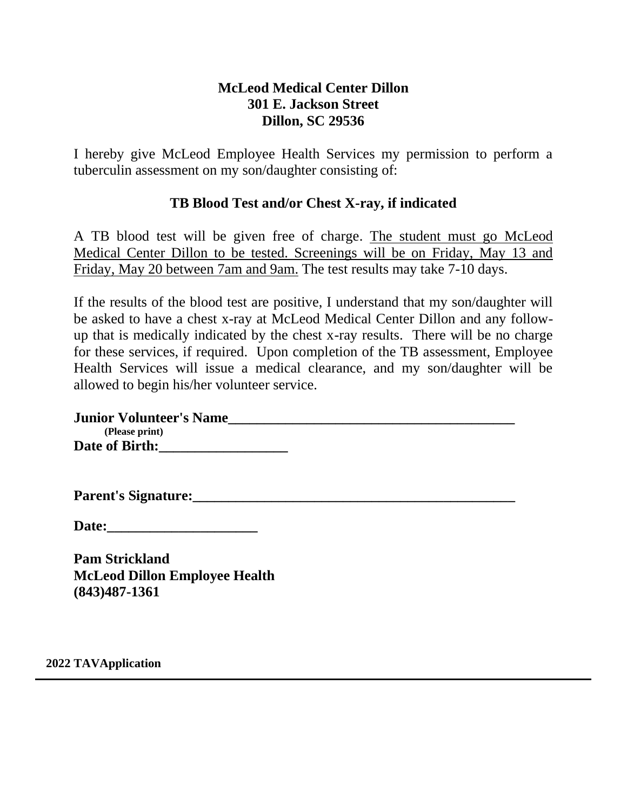### **McLeod Medical Center Dillon 301 E. Jackson Street Dillon, SC 29536**

I hereby give McLeod Employee Health Services my permission to perform a tuberculin assessment on my son/daughter consisting of:

### **TB Blood Test and/or Chest X-ray, if indicated**

A TB blood test will be given free of charge. The student must go McLeod Medical Center Dillon to be tested. Screenings will be on Friday, May 13 and Friday, May 20 between 7am and 9am. The test results may take 7-10 days.

If the results of the blood test are positive, I understand that my son/daughter will be asked to have a chest x-ray at McLeod Medical Center Dillon and any followup that is medically indicated by the chest x-ray results. There will be no charge for these services, if required. Upon completion of the TB assessment, Employee Health Services will issue a medical clearance, and my son/daughter will be allowed to begin his/her volunteer service.

| <b>Junior Volunteer's Name</b> |  |
|--------------------------------|--|
| (Please print)                 |  |
| <b>Date of Birth:</b>          |  |

Parent's Signature:

**Date:\_\_\_\_\_\_\_\_\_\_\_\_\_\_\_\_\_\_\_\_\_**

**Pam Strickland McLeod Dillon Employee Health (843)487-1361**

**2022 TAVApplication**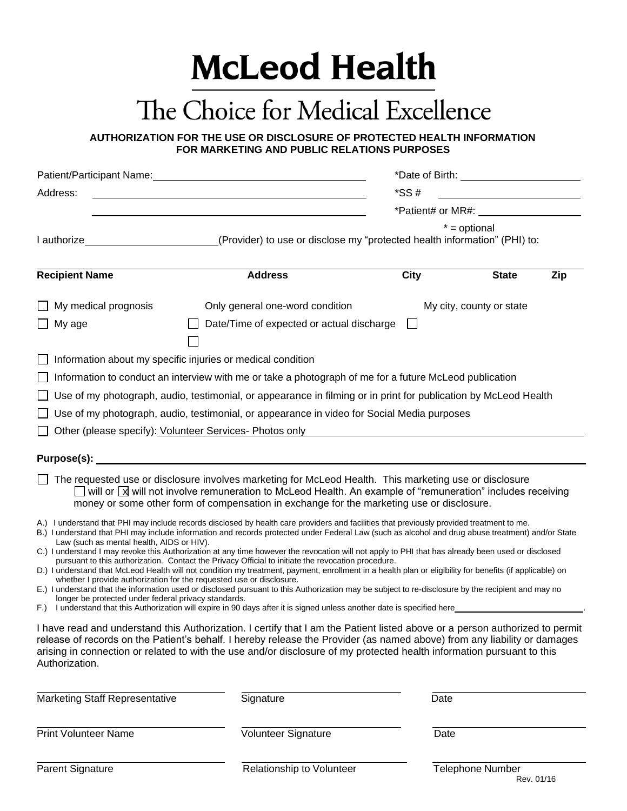# **McLeod Health**

## The Choice for Medical Excellence

**AUTHORIZATION FOR THE USE OR DISCLOSURE OF PROTECTED HEALTH INFORMATION FOR MARKETING AND PUBLIC RELATIONS PURPOSES**

|                                                                                                          | Patient/Participant Name:<br><u>Discrete and the contract of the contract of the contract of the contract of the contract of the contract of the contract of the contract of the contract of the contract of the contract of the c</u>                                                                                                                                                                                                                                                                                                                                                                                                                                                                                                                                                                                                                                                                                                                                                                                                                                      |             |                          |     |
|----------------------------------------------------------------------------------------------------------|-----------------------------------------------------------------------------------------------------------------------------------------------------------------------------------------------------------------------------------------------------------------------------------------------------------------------------------------------------------------------------------------------------------------------------------------------------------------------------------------------------------------------------------------------------------------------------------------------------------------------------------------------------------------------------------------------------------------------------------------------------------------------------------------------------------------------------------------------------------------------------------------------------------------------------------------------------------------------------------------------------------------------------------------------------------------------------|-------------|--------------------------|-----|
| Address:                                                                                                 |                                                                                                                                                                                                                                                                                                                                                                                                                                                                                                                                                                                                                                                                                                                                                                                                                                                                                                                                                                                                                                                                             | $*SS#$      |                          |     |
|                                                                                                          |                                                                                                                                                                                                                                                                                                                                                                                                                                                                                                                                                                                                                                                                                                                                                                                                                                                                                                                                                                                                                                                                             |             | *Patient# or MR#:        |     |
|                                                                                                          |                                                                                                                                                                                                                                                                                                                                                                                                                                                                                                                                                                                                                                                                                                                                                                                                                                                                                                                                                                                                                                                                             |             | $* =$ optional           |     |
|                                                                                                          | I authorize <b>Container and Contract Controllery</b> (Provider) to use or disclose my "protected health information" (PHI) to:                                                                                                                                                                                                                                                                                                                                                                                                                                                                                                                                                                                                                                                                                                                                                                                                                                                                                                                                             |             |                          |     |
| <b>Recipient Name</b>                                                                                    | <b>Address</b>                                                                                                                                                                                                                                                                                                                                                                                                                                                                                                                                                                                                                                                                                                                                                                                                                                                                                                                                                                                                                                                              | <b>City</b> | <b>State</b>             | Zip |
| My medical prognosis                                                                                     | Only general one-word condition                                                                                                                                                                                                                                                                                                                                                                                                                                                                                                                                                                                                                                                                                                                                                                                                                                                                                                                                                                                                                                             |             | My city, county or state |     |
| My age                                                                                                   | Date/Time of expected or actual discharge                                                                                                                                                                                                                                                                                                                                                                                                                                                                                                                                                                                                                                                                                                                                                                                                                                                                                                                                                                                                                                   |             |                          |     |
|                                                                                                          |                                                                                                                                                                                                                                                                                                                                                                                                                                                                                                                                                                                                                                                                                                                                                                                                                                                                                                                                                                                                                                                                             |             |                          |     |
|                                                                                                          | Information about my specific injuries or medical condition                                                                                                                                                                                                                                                                                                                                                                                                                                                                                                                                                                                                                                                                                                                                                                                                                                                                                                                                                                                                                 |             |                          |     |
|                                                                                                          | Information to conduct an interview with me or take a photograph of me for a future McLeod publication                                                                                                                                                                                                                                                                                                                                                                                                                                                                                                                                                                                                                                                                                                                                                                                                                                                                                                                                                                      |             |                          |     |
|                                                                                                          | Use of my photograph, audio, testimonial, or appearance in filming or in print for publication by McLeod Health                                                                                                                                                                                                                                                                                                                                                                                                                                                                                                                                                                                                                                                                                                                                                                                                                                                                                                                                                             |             |                          |     |
|                                                                                                          | Use of my photograph, audio, testimonial, or appearance in video for Social Media purposes                                                                                                                                                                                                                                                                                                                                                                                                                                                                                                                                                                                                                                                                                                                                                                                                                                                                                                                                                                                  |             |                          |     |
|                                                                                                          | Other (please specify): Volunteer Services- Photos only                                                                                                                                                                                                                                                                                                                                                                                                                                                                                                                                                                                                                                                                                                                                                                                                                                                                                                                                                                                                                     |             |                          |     |
|                                                                                                          |                                                                                                                                                                                                                                                                                                                                                                                                                                                                                                                                                                                                                                                                                                                                                                                                                                                                                                                                                                                                                                                                             |             |                          |     |
|                                                                                                          | The requested use or disclosure involves marketing for McLeod Health. This marketing use or disclosure<br>$\Box$ will or $\boxed{\mathbf{x}}$ will not involve remuneration to McLeod Health. An example of "remuneration" includes receiving<br>money or some other form of compensation in exchange for the marketing use or disclosure.                                                                                                                                                                                                                                                                                                                                                                                                                                                                                                                                                                                                                                                                                                                                  |             |                          |     |
| Law (such as mental health, AIDS or HIV).<br>longer be protected under federal privacy standards.<br>F.) | A.) I understand that PHI may include records disclosed by health care providers and facilities that previously provided treatment to me.<br>B.) I understand that PHI may include information and records protected under Federal Law (such as alcohol and drug abuse treatment) and/or State<br>C.) I understand I may revoke this Authorization at any time however the revocation will not apply to PHI that has already been used or disclosed<br>pursuant to this authorization. Contact the Privacy Official to initiate the revocation procedure.<br>D.) I understand that McLeod Health will not condition my treatment, payment, enrollment in a health plan or eligibility for benefits (if applicable) on<br>whether I provide authorization for the requested use or disclosure.<br>E.) I understand that the information used or disclosed pursuant to this Authorization may be subject to re-disclosure by the recipient and may no<br>I understand that this Authorization will expire in 90 days after it is signed unless another date is specified here |             |                          |     |
| Authorization.                                                                                           | I have read and understand this Authorization. I certify that I am the Patient listed above or a person authorized to permit<br>release of records on the Patient's behalf. I hereby release the Provider (as named above) from any liability or damages<br>arising in connection or related to with the use and/or disclosure of my protected health information pursuant to this                                                                                                                                                                                                                                                                                                                                                                                                                                                                                                                                                                                                                                                                                          |             |                          |     |
| <b>Marketing Staff Representative</b>                                                                    | Signature                                                                                                                                                                                                                                                                                                                                                                                                                                                                                                                                                                                                                                                                                                                                                                                                                                                                                                                                                                                                                                                                   | Date        |                          |     |
| <b>Print Volunteer Name</b>                                                                              | Volunteer Signature                                                                                                                                                                                                                                                                                                                                                                                                                                                                                                                                                                                                                                                                                                                                                                                                                                                                                                                                                                                                                                                         | Date        |                          |     |

Parent Signature **Parent Signature** Relationship to Volunteer **Telephone Number** 

Rev. 01/16